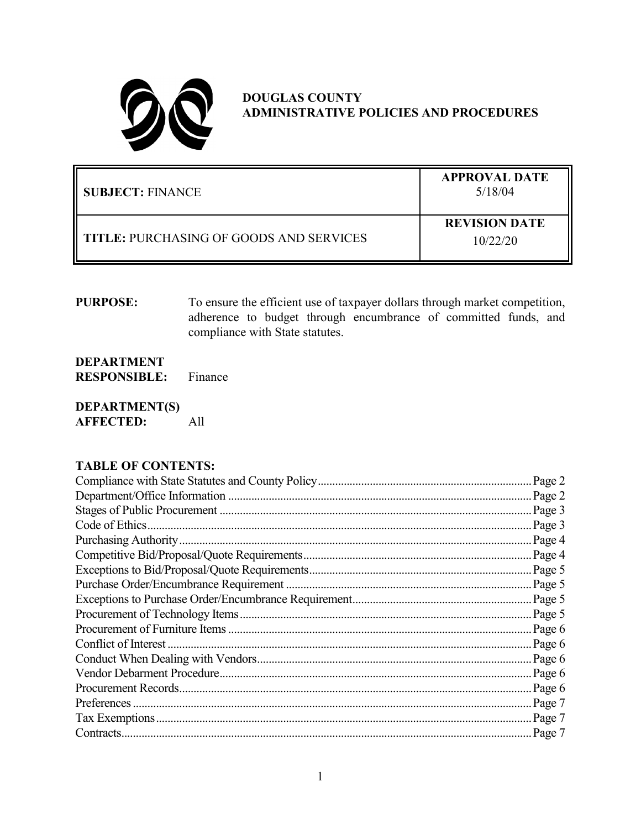

# **DOUGLAS COUNTY ADMINISTRATIVE POLICIES AND PROCEDURES**

| SUBJECT: FINANCE                               | <b>APPROVAL DATE</b><br>5/18/04  |
|------------------------------------------------|----------------------------------|
| <b>TITLE: PURCHASING OF GOODS AND SERVICES</b> | <b>REVISION DATE</b><br>10/22/20 |

**PURPOSE:** To ensure the efficient use of taxpayer dollars through market competition, adherence to budget through encumbrance of committed funds, and compliance with State statutes.

**DEPARTMENT RESPONSIBLE:** Finance

**DEPARTMENT(S) AFFECTED:** All

### **TABLE OF CONTENTS:**

| Page 2              |
|---------------------|
| Page 2              |
| Page 3              |
| Page 3              |
| Page 4              |
|                     |
|                     |
|                     |
| $\therefore$ Page 5 |
| Page 5              |
| Page 6              |
| Page 6              |
| Page 6              |
| Page 6              |
| Page 6              |
| Page 7              |
| Page 7              |
| $\therefore$ Page 7 |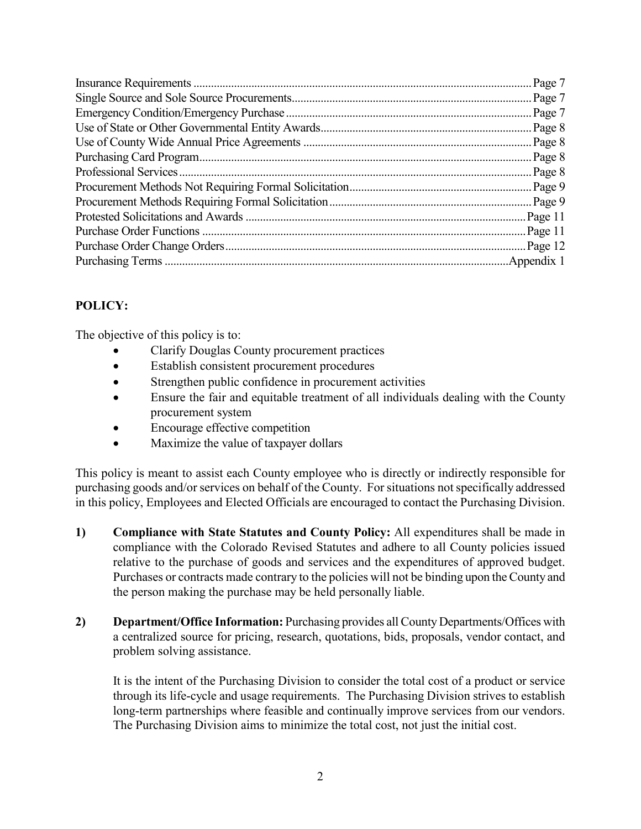## **POLICY:**

The objective of this policy is to:

- Clarify Douglas County procurement practices
- Establish consistent procurement procedures
- Strengthen public confidence in procurement activities
- Ensure the fair and equitable treatment of all individuals dealing with the County procurement system
- Encourage effective competition
- Maximize the value of taxpayer dollars

This policy is meant to assist each County employee who is directly or indirectly responsible for purchasing goods and/or services on behalf of the County. For situations not specifically addressed in this policy, Employees and Elected Officials are encouraged to contact the Purchasing Division.

- **1) Compliance with State Statutes and County Policy:** All expenditures shall be made in compliance with the Colorado Revised Statutes and adhere to all County policies issued relative to the purchase of goods and services and the expenditures of approved budget. Purchases or contracts made contrary to the policies will not be binding upon the County and the person making the purchase may be held personally liable.
- **2) Department/Office Information:** Purchasing provides all County Departments/Offices with a centralized source for pricing, research, quotations, bids, proposals, vendor contact, and problem solving assistance.

It is the intent of the Purchasing Division to consider the total cost of a product or service through its life-cycle and usage requirements. The Purchasing Division strives to establish long-term partnerships where feasible and continually improve services from our vendors. The Purchasing Division aims to minimize the total cost, not just the initial cost.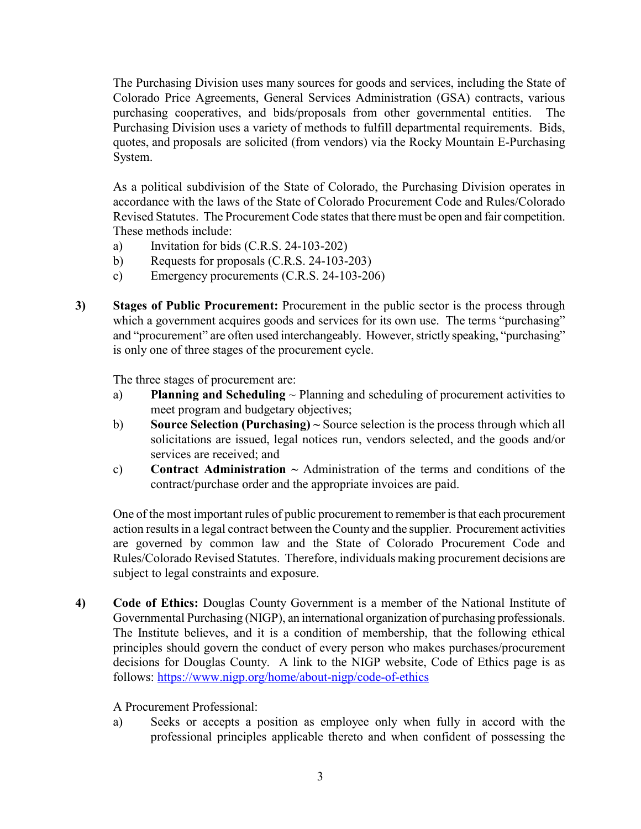The Purchasing Division uses many sources for goods and services, including the State of Colorado Price Agreements, General Services Administration (GSA) contracts, various purchasing cooperatives, and bids/proposals from other governmental entities. The Purchasing Division uses a variety of methods to fulfill departmental requirements. Bids, quotes, and proposals are solicited (from vendors) via the Rocky Mountain E-Purchasing System.

As a political subdivision of the State of Colorado, the Purchasing Division operates in accordance with the laws of the State of Colorado Procurement Code and Rules/Colorado Revised Statutes. The Procurement Code states that there must be open and fair competition. These methods include:

- a) Invitation for bids (C.R.S. 24-103-202)
- b) Requests for proposals (C.R.S. 24-103-203)
- c) Emergency procurements (C.R.S. 24-103-206)
- **3) Stages of Public Procurement:** Procurement in the public sector is the process through which a government acquires goods and services for its own use. The terms "purchasing" and "procurement" are often used interchangeably. However, strictly speaking, "purchasing" is only one of three stages of the procurement cycle.

The three stages of procurement are:

- a) **Planning and Scheduling** ~ Planning and scheduling of procurement activities to meet program and budgetary objectives;
- b) **Source Selection (Purchasing) ~** Source selection is the process through which all solicitations are issued, legal notices run, vendors selected, and the goods and/or services are received; and
- c) **Contract Administration**  $\sim$  Administration of the terms and conditions of the contract/purchase order and the appropriate invoices are paid.

One of the most important rules of public procurement to remember is that each procurement action results in a legal contract between the County and the supplier. Procurement activities are governed by common law and the State of Colorado Procurement Code and Rules/Colorado Revised Statutes. Therefore, individuals making procurement decisions are subject to legal constraints and exposure.

**4) Code of Ethics:** Douglas County Government is a member of the National Institute of Governmental Purchasing (NIGP), an international organization of purchasing professionals. The Institute believes, and it is a condition of membership, that the following ethical principles should govern the conduct of every person who makes purchases/procurement decisions for Douglas County. A link to the NIGP website, Code of Ethics page is as follows:<https://www.nigp.org/home/about-nigp/code-of-ethics>

#### A Procurement Professional:

a) Seeks or accepts a position as employee only when fully in accord with the professional principles applicable thereto and when confident of possessing the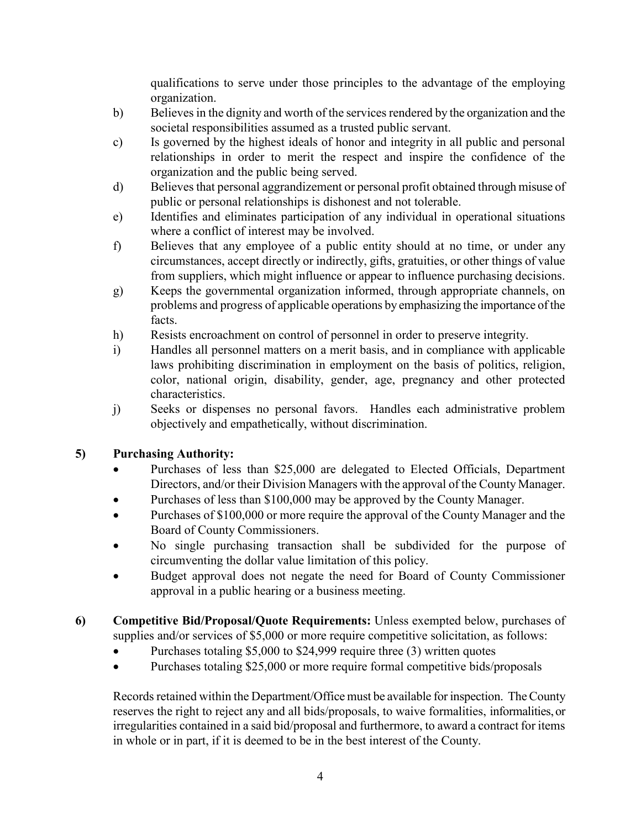qualifications to serve under those principles to the advantage of the employing organization.

- b) Believes in the dignity and worth of the services rendered by the organization and the societal responsibilities assumed as a trusted public servant.
- c) Is governed by the highest ideals of honor and integrity in all public and personal relationships in order to merit the respect and inspire the confidence of the organization and the public being served.
- d) Believes that personal aggrandizement or personal profit obtained through misuse of public or personal relationships is dishonest and not tolerable.
- e) Identifies and eliminates participation of any individual in operational situations where a conflict of interest may be involved.
- f) Believes that any employee of a public entity should at no time, or under any circumstances, accept directly or indirectly, gifts, gratuities, or other things of value from suppliers, which might influence or appear to influence purchasing decisions.
- g) Keeps the governmental organization informed, through appropriate channels, on problems and progress of applicable operations by emphasizing the importance of the facts.
- h) Resists encroachment on control of personnel in order to preserve integrity.
- i) Handles all personnel matters on a merit basis, and in compliance with applicable laws prohibiting discrimination in employment on the basis of politics, religion, color, national origin, disability, gender, age, pregnancy and other protected characteristics.
- j) Seeks or dispenses no personal favors. Handles each administrative problem objectively and empathetically, without discrimination.

### **5) Purchasing Authority:**

- Purchases of less than \$25,000 are delegated to Elected Officials, Department Directors, and/or their Division Managers with the approval of the County Manager.
- Purchases of less than \$100,000 may be approved by the County Manager.
- Purchases of \$100,000 or more require the approval of the County Manager and the Board of County Commissioners.
- No single purchasing transaction shall be subdivided for the purpose of circumventing the dollar value limitation of this policy.
- Budget approval does not negate the need for Board of County Commissioner approval in a public hearing or a business meeting.
- **6) Competitive Bid/Proposal/Quote Requirements:** Unless exempted below, purchases of supplies and/or services of \$5,000 or more require competitive solicitation, as follows:
	- Purchases totaling \$5,000 to \$24,999 require three (3) written quotes
	- Purchases totaling \$25,000 or more require formal competitive bids/proposals

Records retained within the Department/Office must be available for inspection. The County reserves the right to reject any and all bids/proposals, to waive formalities, informalities, or irregularities contained in a said bid/proposal and furthermore, to award a contract for items in whole or in part, if it is deemed to be in the best interest of the County.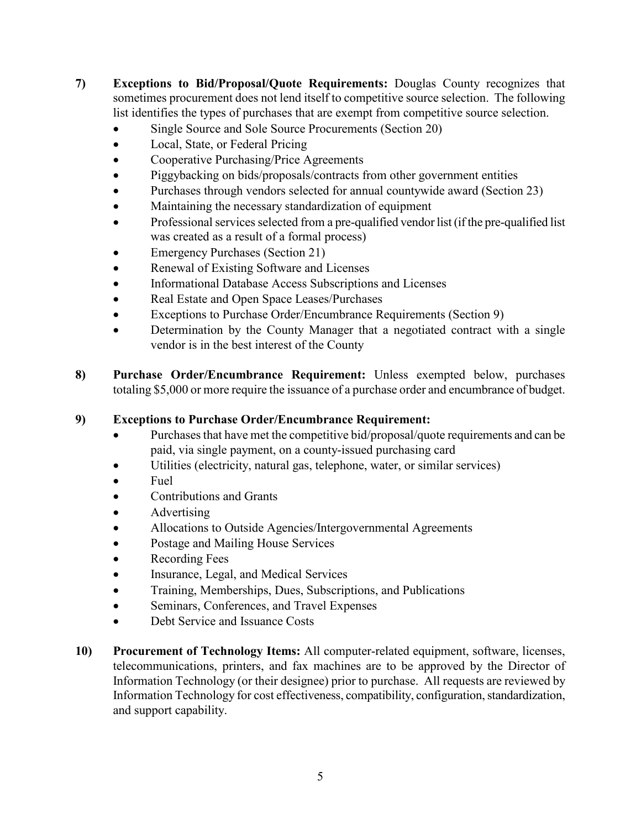- **7) Exceptions to Bid/Proposal/Quote Requirements:** Douglas County recognizes that sometimes procurement does not lend itself to competitive source selection. The following list identifies the types of purchases that are exempt from competitive source selection.
	- Single Source and Sole Source Procurements (Section 20)
	- Local, State, or Federal Pricing
	- Cooperative Purchasing/Price Agreements
	- Piggybacking on bids/proposals/contracts from other government entities
	- Purchases through vendors selected for annual countywide award (Section 23)
	- Maintaining the necessary standardization of equipment
	- Professional services selected from a pre-qualified vendor list (if the pre-qualified list was created as a result of a formal process)
	- Emergency Purchases (Section 21)
	- Renewal of Existing Software and Licenses
	- Informational Database Access Subscriptions and Licenses
	- Real Estate and Open Space Leases/Purchases
	- Exceptions to Purchase Order/Encumbrance Requirements (Section 9)
	- Determination by the County Manager that a negotiated contract with a single vendor is in the best interest of the County
- **8) Purchase Order/Encumbrance Requirement:** Unless exempted below, purchases totaling \$5,000 or more require the issuance of a purchase order and encumbrance of budget.

## **9) Exceptions to Purchase Order/Encumbrance Requirement:**

- Purchases that have met the competitive bid/proposal/quote requirements and can be paid, via single payment, on a county-issued purchasing card
- Utilities (electricity, natural gas, telephone, water, or similar services)
- Fuel
- Contributions and Grants
- Advertising
- Allocations to Outside Agencies/Intergovernmental Agreements
- Postage and Mailing House Services
- Recording Fees
- Insurance, Legal, and Medical Services
- Training, Memberships, Dues, Subscriptions, and Publications
- Seminars, Conferences, and Travel Expenses
- Debt Service and Issuance Costs
- **10) Procurement of Technology Items:** All computer-related equipment, software, licenses, telecommunications, printers, and fax machines are to be approved by the Director of Information Technology (or their designee) prior to purchase. All requests are reviewed by Information Technology for cost effectiveness, compatibility, configuration, standardization, and support capability.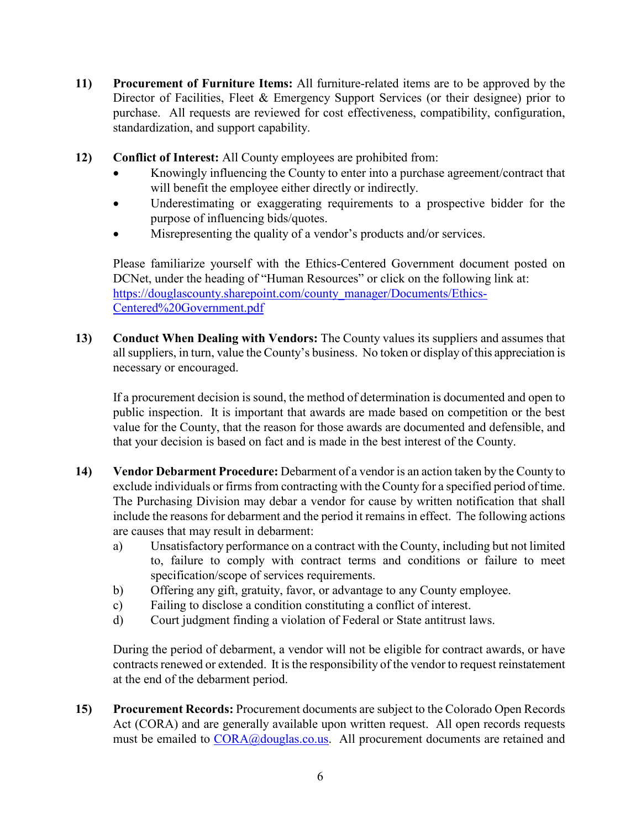- **11) Procurement of Furniture Items:** All furniture-related items are to be approved by the Director of Facilities, Fleet & Emergency Support Services (or their designee) prior to purchase. All requests are reviewed for cost effectiveness, compatibility, configuration, standardization, and support capability.
- **12) Conflict of Interest:** All County employees are prohibited from:
	- Knowingly influencing the County to enter into a purchase agreement/contract that will benefit the employee either directly or indirectly.
	- Underestimating or exaggerating requirements to a prospective bidder for the purpose of influencing bids/quotes.
	- Misrepresenting the quality of a vendor's products and/or services.

Please familiarize yourself with the Ethics-Centered Government document posted on DCNet, under the heading of "Human Resources" or click on the following link at: [https://douglascounty.sharepoint.com/county\\_manager/Documents/Ethics-](https://douglascounty.sharepoint.com/county_manager/Documents/Ethics-Centered%20Government.pdf)[Centered%20Government.pdf](https://douglascounty.sharepoint.com/county_manager/Documents/Ethics-Centered%20Government.pdf)

**13) Conduct When Dealing with Vendors:** The County values its suppliers and assumes that all suppliers, in turn, value the County's business. No token or display of this appreciation is necessary or encouraged.

If a procurement decision is sound, the method of determination is documented and open to public inspection. It is important that awards are made based on competition or the best value for the County, that the reason for those awards are documented and defensible, and that your decision is based on fact and is made in the best interest of the County.

- **14) Vendor Debarment Procedure:** Debarment of a vendor is an action taken by the County to exclude individuals or firms from contracting with the County for a specified period of time. The Purchasing Division may debar a vendor for cause by written notification that shall include the reasons for debarment and the period it remains in effect. The following actions are causes that may result in debarment:
	- a) Unsatisfactory performance on a contract with the County, including but not limited to, failure to comply with contract terms and conditions or failure to meet specification/scope of services requirements.
	- b) Offering any gift, gratuity, favor, or advantage to any County employee.
	- c) Failing to disclose a condition constituting a conflict of interest.
	- d) Court judgment finding a violation of Federal or State antitrust laws.

During the period of debarment, a vendor will not be eligible for contract awards, or have contracts renewed or extended. It is the responsibility of the vendor to request reinstatement at the end of the debarment period.

**15) Procurement Records:** Procurement documents are subject to the Colorado Open Records Act (CORA) and are generally available upon written request. All open records requests must be emailed to [CORA@douglas.co.us.](mailto:CORA@douglas.co.us) All procurement documents are retained and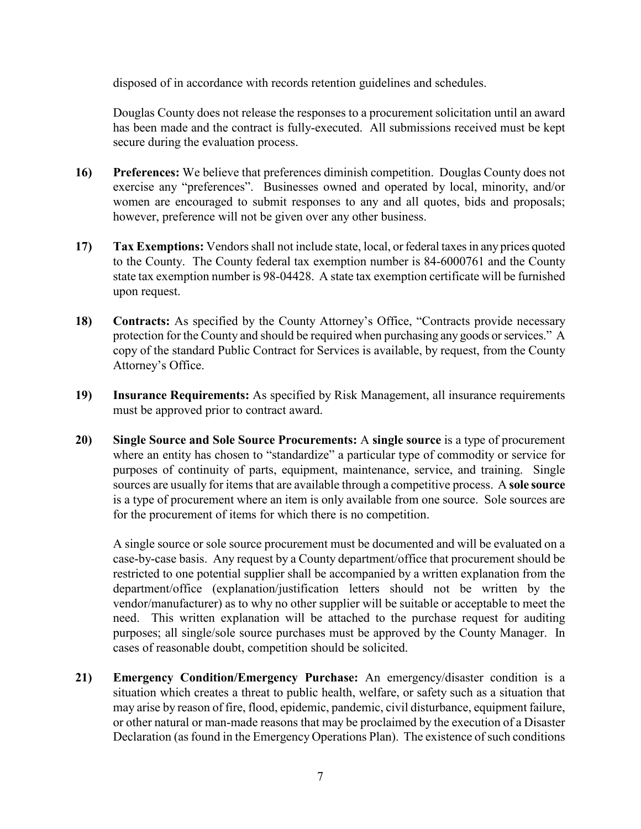disposed of in accordance with records retention guidelines and schedules.

Douglas County does not release the responses to a procurement solicitation until an award has been made and the contract is fully-executed. All submissions received must be kept secure during the evaluation process.

- **16) Preferences:** We believe that preferences diminish competition. Douglas County does not exercise any "preferences". Businesses owned and operated by local, minority, and/or women are encouraged to submit responses to any and all quotes, bids and proposals; however, preference will not be given over any other business.
- **17) Tax Exemptions:** Vendors shall not include state, local, or federal taxes in any prices quoted to the County. The County federal tax exemption number is 84-6000761 and the County state tax exemption number is 98-04428. A state tax exemption certificate will be furnished upon request.
- **18) Contracts:** As specified by the County Attorney's Office, "Contracts provide necessary protection for the County and should be required when purchasing any goods or services." A copy of the standard Public Contract for Services is available, by request, from the County Attorney's Office.
- **19) Insurance Requirements:** As specified by Risk Management, all insurance requirements must be approved prior to contract award.
- **20) Single Source and Sole Source Procurements:** A **single source** is a type of procurement where an entity has chosen to "standardize" a particular type of commodity or service for purposes of continuity of parts, equipment, maintenance, service, and training. Single sources are usually for items that are available through a competitive process. A **sole source** is a type of procurement where an item is only available from one source. Sole sources are for the procurement of items for which there is no competition.

A single source or sole source procurement must be documented and will be evaluated on a case-by-case basis. Any request by a County department/office that procurement should be restricted to one potential supplier shall be accompanied by a written explanation from the department/office (explanation/justification letters should not be written by the vendor/manufacturer) as to why no other supplier will be suitable or acceptable to meet the need. This written explanation will be attached to the purchase request for auditing purposes; all single/sole source purchases must be approved by the County Manager. In cases of reasonable doubt, competition should be solicited.

**21) Emergency Condition/Emergency Purchase:** An emergency/disaster condition is a situation which creates a threat to public health, welfare, or safety such as a situation that may arise by reason of fire, flood, epidemic, pandemic, civil disturbance, equipment failure, or other natural or man-made reasons that may be proclaimed by the execution of a Disaster Declaration (as found in the Emergency Operations Plan). The existence of such conditions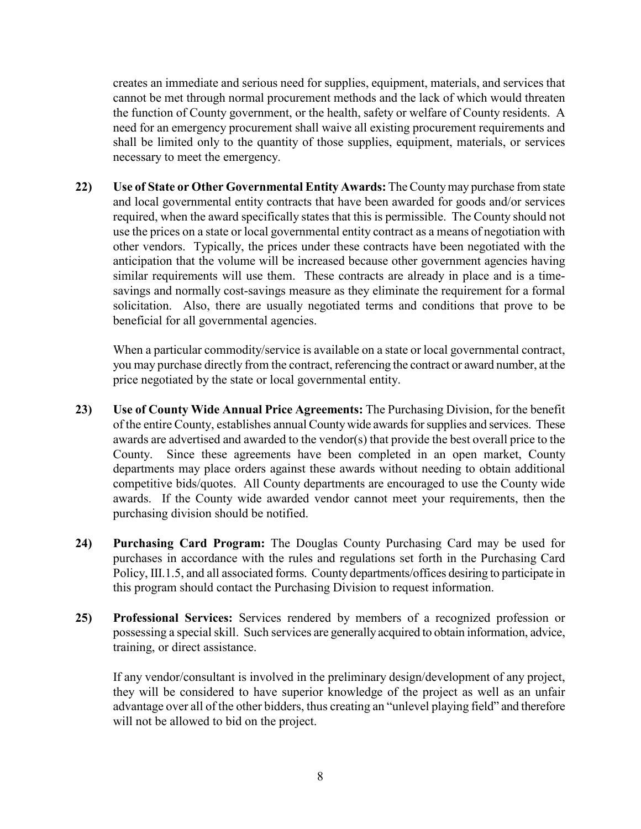creates an immediate and serious need for supplies, equipment, materials, and services that cannot be met through normal procurement methods and the lack of which would threaten the function of County government, or the health, safety or welfare of County residents. A need for an emergency procurement shall waive all existing procurement requirements and shall be limited only to the quantity of those supplies, equipment, materials, or services necessary to meet the emergency.

**22) Use of State or Other Governmental Entity Awards:** The County may purchase from state and local governmental entity contracts that have been awarded for goods and/or services required, when the award specifically states that this is permissible. The County should not use the prices on a state or local governmental entity contract as a means of negotiation with other vendors. Typically, the prices under these contracts have been negotiated with the anticipation that the volume will be increased because other government agencies having similar requirements will use them. These contracts are already in place and is a timesavings and normally cost-savings measure as they eliminate the requirement for a formal solicitation. Also, there are usually negotiated terms and conditions that prove to be beneficial for all governmental agencies.

When a particular commodity/service is available on a state or local governmental contract, you may purchase directly from the contract, referencing the contract or award number, at the price negotiated by the state or local governmental entity.

- **23) Use of County Wide Annual Price Agreements:** The Purchasing Division, for the benefit of the entire County, establishes annual Countywide awards for supplies and services. These awards are advertised and awarded to the vendor(s) that provide the best overall price to the County. Since these agreements have been completed in an open market, County departments may place orders against these awards without needing to obtain additional competitive bids/quotes. All County departments are encouraged to use the County wide awards. If the County wide awarded vendor cannot meet your requirements, then the purchasing division should be notified.
- **24) Purchasing Card Program:** The Douglas County Purchasing Card may be used for purchases in accordance with the rules and regulations set forth in the Purchasing Card Policy, III.1.5, and all associated forms. County departments/offices desiring to participate in this program should contact the Purchasing Division to request information.
- **25) Professional Services:** Services rendered by members of a recognized profession or possessing a special skill. Such services are generally acquired to obtain information, advice, training, or direct assistance.

If any vendor/consultant is involved in the preliminary design/development of any project, they will be considered to have superior knowledge of the project as well as an unfair advantage over all of the other bidders, thus creating an "unlevel playing field" and therefore will not be allowed to bid on the project.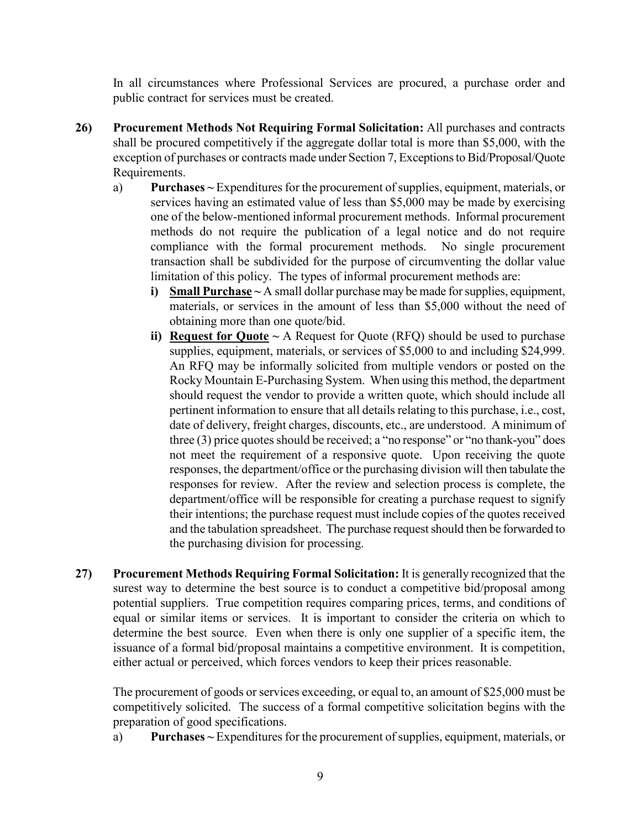In all circumstances where Professional Services are procured, a purchase order and public contract for services must be created.

- **26) Procurement Methods Not Requiring Formal Solicitation:** All purchases and contracts shall be procured competitively if the aggregate dollar total is more than \$5,000, with the exception of purchases or contracts made under Section 7, Exceptions to Bid/Proposal/Quote Requirements.
	- a) **Purchases ~** Expenditures for the procurement of supplies, equipment, materials, or services having an estimated value of less than \$5,000 may be made by exercising one of the below-mentioned informal procurement methods. Informal procurement methods do not require the publication of a legal notice and do not require compliance with the formal procurement methods. No single procurement transaction shall be subdivided for the purpose of circumventing the dollar value limitation of this policy. The types of informal procurement methods are:
		- **i) Small Purchase ~** A small dollar purchase may be made for supplies, equipment, materials, or services in the amount of less than \$5,000 without the need of obtaining more than one quote/bid.
		- **ii) Request for Quote ~** A Request for Quote (RFQ) should be used to purchase supplies, equipment, materials, or services of \$5,000 to and including \$24,999. An RFQ may be informally solicited from multiple vendors or posted on the Rocky Mountain E-Purchasing System. When using this method, the department should request the vendor to provide a written quote, which should include all pertinent information to ensure that all details relating to this purchase, i.e., cost, date of delivery, freight charges, discounts, etc., are understood. A minimum of three (3) price quotes should be received; a "no response" or "no thank-you" does not meet the requirement of a responsive quote. Upon receiving the quote responses, the department/office or the purchasing division will then tabulate the responses for review. After the review and selection process is complete, the department/office will be responsible for creating a purchase request to signify their intentions; the purchase request must include copies of the quotes received and the tabulation spreadsheet. The purchase request should then be forwarded to the purchasing division for processing.
- **27) Procurement Methods Requiring Formal Solicitation:** It is generally recognized that the surest way to determine the best source is to conduct a competitive bid/proposal among potential suppliers. True competition requires comparing prices, terms, and conditions of equal or similar items or services. It is important to consider the criteria on which to determine the best source. Even when there is only one supplier of a specific item, the issuance of a formal bid/proposal maintains a competitive environment. It is competition, either actual or perceived, which forces vendors to keep their prices reasonable.

The procurement of goods or services exceeding, or equal to, an amount of \$25,000 must be competitively solicited. The success of a formal competitive solicitation begins with the preparation of good specifications.

a) **Purchases ~** Expenditures for the procurement of supplies, equipment, materials, or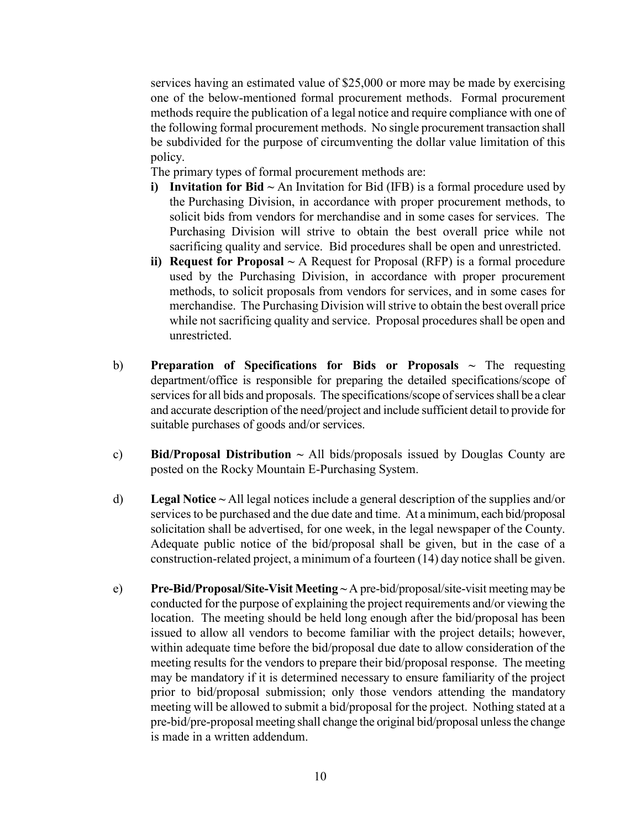services having an estimated value of \$25,000 or more may be made by exercising one of the below-mentioned formal procurement methods. Formal procurement methods require the publication of a legal notice and require compliance with one of the following formal procurement methods. No single procurement transaction shall be subdivided for the purpose of circumventing the dollar value limitation of this policy.

The primary types of formal procurement methods are:

- **i) Invitation for Bid ~** An Invitation for Bid (IFB) is a formal procedure used by the Purchasing Division, in accordance with proper procurement methods, to solicit bids from vendors for merchandise and in some cases for services. The Purchasing Division will strive to obtain the best overall price while not sacrificing quality and service. Bid procedures shall be open and unrestricted.
- **ii) Request for Proposal ~** A Request for Proposal (RFP) is a formal procedure used by the Purchasing Division, in accordance with proper procurement methods, to solicit proposals from vendors for services, and in some cases for merchandise. The Purchasing Division willstrive to obtain the best overall price while not sacrificing quality and service. Proposal procedures shall be open and unrestricted.
- b) **Preparation of Specifications for Bids or Proposals**  $\sim$  The requesting department/office is responsible for preparing the detailed specifications/scope of services for all bids and proposals. The specifications/scope of services shall be a clear and accurate description of the need/project and include sufficient detail to provide for suitable purchases of goods and/or services.
- c) **Bid/Proposal Distribution ~** All bids/proposals issued by Douglas County are posted on the Rocky Mountain E-Purchasing System.
- d) **Legal Notice ~** All legal notices include a general description of the supplies and/or services to be purchased and the due date and time. At a minimum, each bid/proposal solicitation shall be advertised, for one week, in the legal newspaper of the County. Adequate public notice of the bid/proposal shall be given, but in the case of a construction-related project, a minimum of a fourteen (14) day notice shall be given.
- e) **Pre-Bid/Proposal/Site-Visit Meeting ~** A pre-bid/proposal/site-visit meeting may be conducted for the purpose of explaining the project requirements and/or viewing the location. The meeting should be held long enough after the bid/proposal has been issued to allow all vendors to become familiar with the project details; however, within adequate time before the bid/proposal due date to allow consideration of the meeting results for the vendors to prepare their bid/proposal response. The meeting may be mandatory if it is determined necessary to ensure familiarity of the project prior to bid/proposal submission; only those vendors attending the mandatory meeting will be allowed to submit a bid/proposal for the project. Nothing stated at a pre-bid/pre-proposal meeting shall change the original bid/proposal unless the change is made in a written addendum.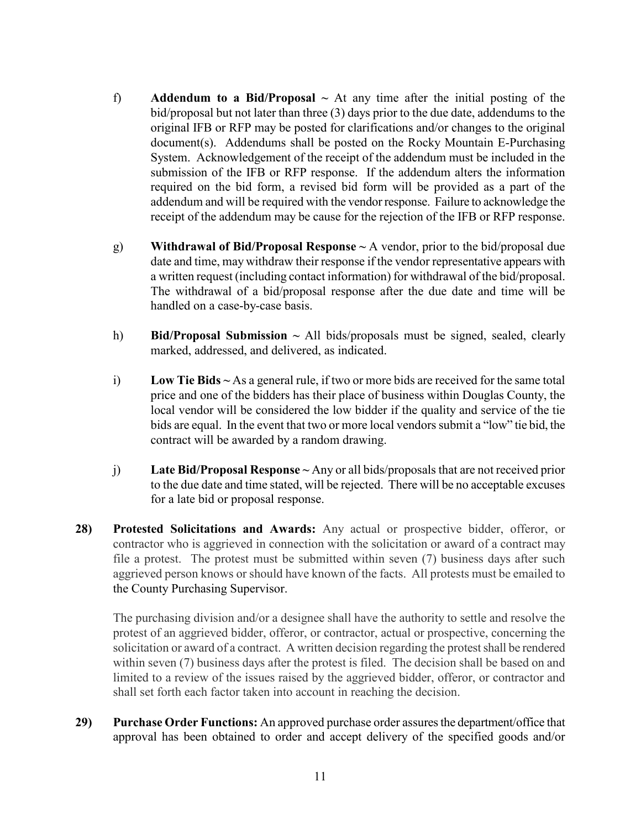- f) **Addendum to a Bid/Proposal ~** At any time after the initial posting of the bid/proposal but not later than three (3) days prior to the due date, addendums to the original IFB or RFP may be posted for clarifications and/or changes to the original document(s). Addendums shall be posted on the Rocky Mountain E-Purchasing System. Acknowledgement of the receipt of the addendum must be included in the submission of the IFB or RFP response. If the addendum alters the information required on the bid form, a revised bid form will be provided as a part of the addendum and will be required with the vendor response. Failure to acknowledge the receipt of the addendum may be cause for the rejection of the IFB or RFP response.
- g) **Withdrawal of Bid/Proposal Response ~** A vendor, prior to the bid/proposal due date and time, may withdraw their response if the vendor representative appears with a written request (including contact information) for withdrawal of the bid/proposal. The withdrawal of a bid/proposal response after the due date and time will be handled on a case-by-case basis.
- h) **Bid/Proposal Submission ~** All bids/proposals must be signed, sealed, clearly marked, addressed, and delivered, as indicated.
- i) **Low Tie Bids ~** As a general rule, if two or more bids are received for the same total price and one of the bidders has their place of business within Douglas County, the local vendor will be considered the low bidder if the quality and service of the tie bids are equal. In the event that two or more local vendors submit a "low" tie bid, the contract will be awarded by a random drawing.
- j) **Late Bid/Proposal Response ~** Any or all bids/proposals that are not received prior to the due date and time stated, will be rejected. There will be no acceptable excuses for a late bid or proposal response.
- **28) Protested Solicitations and Awards:** Any actual or prospective bidder, offeror, or contractor who is aggrieved in connection with the solicitation or award of a contract may file a protest. The protest must be submitted within seven (7) business days after such aggrieved person knows or should have known of the facts. All protests must be emailed to the County Purchasing Supervisor.

The purchasing division and/or a designee shall have the authority to settle and resolve the protest of an aggrieved bidder, offeror, or contractor, actual or prospective, concerning the solicitation or award of a contract. A written decision regarding the protest shall be rendered within seven (7) business days after the protest is filed. The decision shall be based on and limited to a review of the issues raised by the aggrieved bidder, offeror, or contractor and shall set forth each factor taken into account in reaching the decision.

**29) Purchase Order Functions:** An approved purchase order assures the department/office that approval has been obtained to order and accept delivery of the specified goods and/or